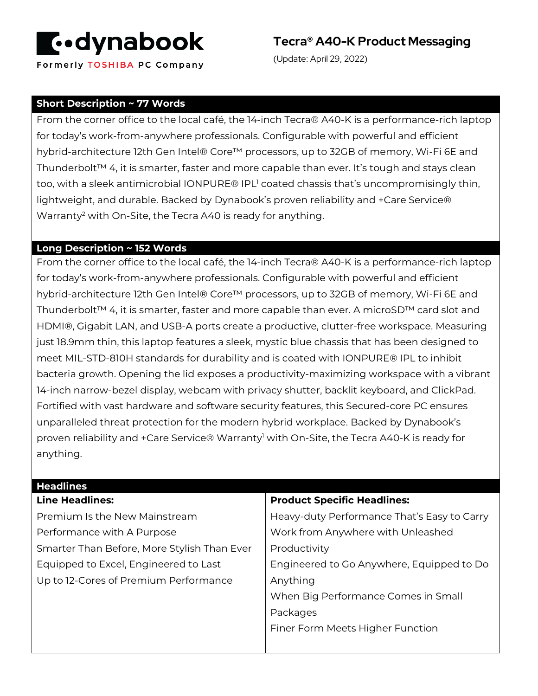

Formerly TOSHIBA PC Company

**Tecra® A40-K Product Messaging**

(Update: April 29, 2022)

### **Short Description ~ 77 Words**

From the corner office to the local café, the 14-inch Tecra® A40-K is a performance-rich laptop for today's work-from-anywhere professionals. Configurable with powerful and efficient hybrid-architecture 12th Gen Intel® Core™ processors, up to 32GB of memory, Wi-Fi 6E and Thunderbolt™ 4, it is smarter, faster and more capable than ever. It's tough and stays clean too, with a sleek antimicrobial IONPURE® IPL<sup>1</sup> coated chassis that's uncompromisingly thin, lightweight, and durable. Backed by Dynabook's proven reliability and +Care Service® Warranty<sup>2</sup> with On-Site, the Tecra A40 is ready for anything.

#### **Long Description ~ 152 Words**

From the corner office to the local café, the 14-inch Tecra® A40-K is a performance-rich laptop for today's work-from-anywhere professionals. Configurable with powerful and efficient hybrid-architecture 12th Gen Intel® Core™ processors, up to 32GB of memory, Wi-Fi 6E and Thunderbolt™ 4, it is smarter, faster and more capable than ever. A microSD™ card slot and HDMI®, Gigabit LAN, and USB-A ports create a productive, clutter-free workspace. Measuring just 18.9mm thin, this laptop features a sleek, mystic blue chassis that has been designed to meet MIL-STD-810H standards for durability and is coated with IONPURE® IPL to inhibit bacteria growth. Opening the lid exposes a productivity-maximizing workspace with a vibrant 14-inch narrow-bezel display, webcam with privacy shutter, backlit keyboard, and ClickPad. Fortified with vast hardware and software security features, this Secured-core PC ensures unparalleled threat protection for the modern hybrid workplace. Backed by Dynabook's proven reliability and +Care Service® Warranty<sup>1</sup> with On-Site, the Tecra A40-K is ready for anything.

| <b>Headlines</b>                            |                                             |
|---------------------------------------------|---------------------------------------------|
| <b>Line Headlines:</b>                      | <b>Product Specific Headlines:</b>          |
| Premium Is the New Mainstream               | Heavy-duty Performance That's Easy to Carry |
| Performance with A Purpose                  | Work from Anywhere with Unleashed           |
| Smarter Than Before, More Stylish Than Ever | Productivity                                |
| Equipped to Excel, Engineered to Last       | Engineered to Go Anywhere, Equipped to Do   |
| Up to 12-Cores of Premium Performance       | Anything                                    |
|                                             | When Big Performance Comes in Small         |
|                                             | Packages                                    |
|                                             | Finer Form Meets Higher Function            |
|                                             |                                             |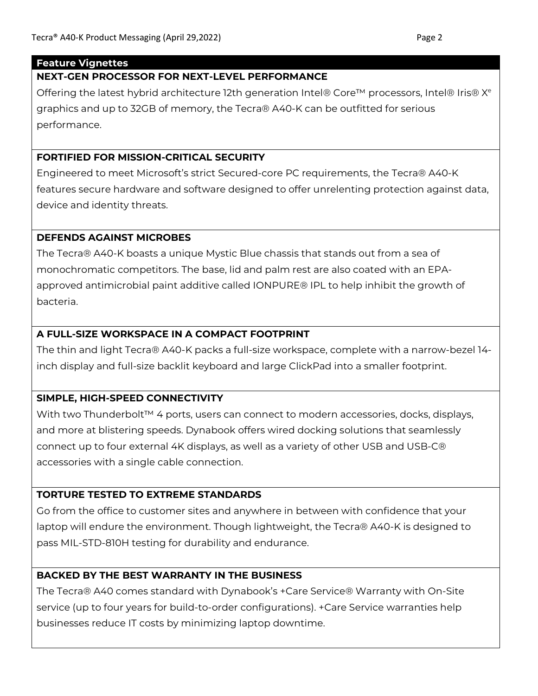### **Feature Vignettes**

# **NEXT-GEN PROCESSOR FOR NEXT-LEVEL PERFORMANCE**

Offering the latest hybrid architecture 12th generation Intel® Core<sup>™</sup> processors, Intel® Iris®  $X^e$ graphics and up to 32GB of memory, the Tecra® A40-K can be outfitted for serious performance.

# **FORTIFIED FOR MISSION-CRITICAL SECURITY**

Engineered to meet Microsoft's strict Secured-core PC requirements, the Tecra® A40-K features secure hardware and software designed to offer unrelenting protection against data, device and identity threats.

## **DEFENDS AGAINST MICROBES**

The Tecra® A40-K boasts a unique Mystic Blue chassis that stands out from a sea of monochromatic competitors. The base, lid and palm rest are also coated with an EPAapproved antimicrobial paint additive called IONPURE® IPL to help inhibit the growth of bacteria.

# **A FULL-SIZE WORKSPACE IN A COMPACT FOOTPRINT**

The thin and light Tecra® A40-K packs a full-size workspace, complete with a narrow-bezel 14 inch display and full-size backlit keyboard and large ClickPad into a smaller footprint.

# **SIMPLE, HIGH-SPEED CONNECTIVITY**

With two Thunderbolt™ 4 ports, users can connect to modern accessories, docks, displays, and more at blistering speeds. Dynabook offers wired docking solutions that seamlessly connect up to four external 4K displays, as well as a variety of other USB and USB-C® accessories with a single cable connection.

# **TORTURE TESTED TO EXTREME STANDARDS**

Go from the office to customer sites and anywhere in between with confidence that your laptop will endure the environment. Though lightweight, the Tecra® A40-K is designed to pass MIL-STD-810H testing for durability and endurance.

# **BACKED BY THE BEST WARRANTY IN THE BUSINESS**

The Tecra® A40 comes standard with Dynabook's +Care Service® Warranty with On-Site service (up to four years for build-to-order configurations). +Care Service warranties help businesses reduce IT costs by minimizing laptop downtime.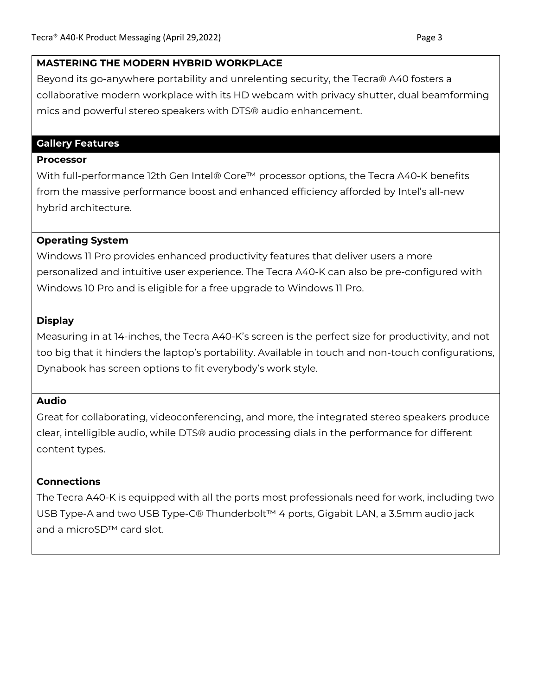#### **MASTERING THE MODERN HYBRID WORKPLACE**

Beyond its go-anywhere portability and unrelenting security, the Tecra® A40 fosters a collaborative modern workplace with its HD webcam with privacy shutter, dual beamforming mics and powerful stereo speakers with DTS® audio enhancement.

### **Gallery Features**

#### **Processor**

With full-performance 12th Gen Intel® Core™ processor options, the Tecra A40-K benefits from the massive performance boost and enhanced efficiency afforded by Intel's all-new hybrid architecture.

## **Operating System**

Windows 11 Pro provides enhanced productivity features that deliver users a more personalized and intuitive user experience. The Tecra A40-K can also be pre-configured with Windows 10 Pro and is eligible for a free upgrade to Windows 11 Pro.

## **Display**

Measuring in at 14-inches, the Tecra A40-K's screen is the perfect size for productivity, and not too big that it hinders the laptop's portability. Available in touch and non-touch configurations, Dynabook has screen options to fit everybody's work style.

### **Audio**

Great for collaborating, videoconferencing, and more, the integrated stereo speakers produce clear, intelligible audio, while DTS® audio processing dials in the performance for different content types.

### **Connections**

The Tecra A40-K is equipped with all the ports most professionals need for work, including two USB Type-A and two USB Type-C® Thunderbolt™ 4 ports, Gigabit LAN, a 3.5mm audio jack and a microSD™ card slot.